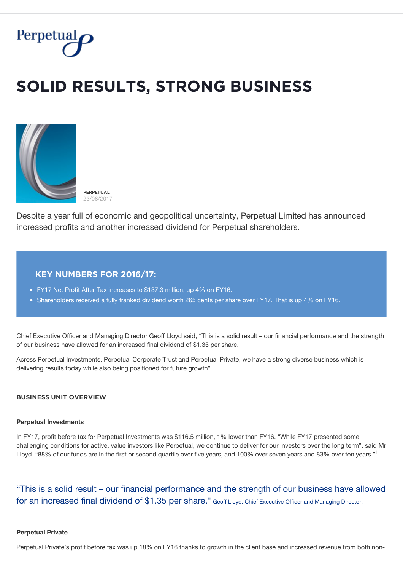

# $SOLID$  RESULTS, STRONG BUSINESS



Despite a year full of economic and geopolitical uncertainty, Perpetual Limited has announced increased profits and another increased dividend for Perpetual shareholders.

## **ĶĚỲ ŇŲMBĚŘȘ FǾŘ 2016/17:**

- FY17 Net Profit After Tax increases to \$137.3 million, up 4% on FY16.
- Shareholders received a fully franked dividend worth 265 cents per share over FY17. That is up 4% on FY16.

Chief Executive Officer and Managing Director Geoff Lloyd said, "This is a solid result – our financial performance and the strength of our business have allowed for an increased final dividend of \$1.35 per share.

Across Perpetual Investments, Perpetual Corporate Trust and Perpetual Private, we have a strong diverse business which is delivering results today while also being positioned for future growth".

### **BUSINESS UNIT OVERVIEW**

#### **Perpetual Investments**

In FY17, profit before tax for Perpetual Investments was \$116.5 million, 1% lower than FY16. "While FY17 presented some challenging conditions for active, value investors like Perpetual, we continue to deliver for our investors over the long term", said Mr Lloyd. "88% of our funds are in the first or second quartile over five years, and 100% over seven years and 83% over ten years."<sup>1</sup>

"This is a solid result – our financial performance and the strength of our business have allowed for an increased final dividend of \$1.35 per share." Geoff Lloyd, Chief Executive Officer and Managing Director.

#### **Perpetual Private**

Perpetual Private's profit before tax was up 18% on FY16 thanks to growth in the client base and increased revenue from both non-